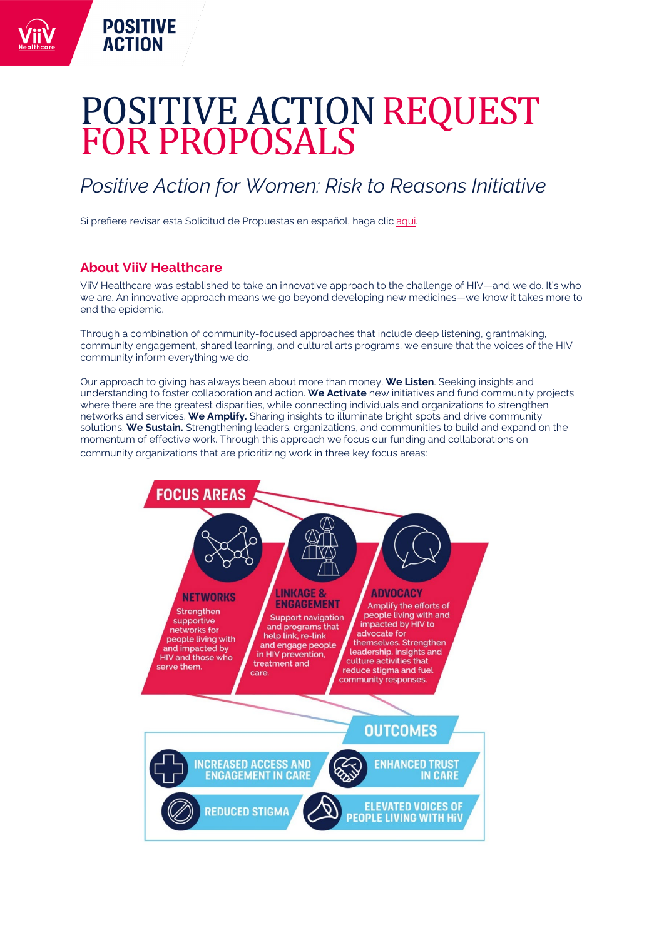# POSITIVE ACTION REQUEST FOR PROPOSALS

# *Positive Action for Women: Risk to Reasons Initiative*

Si prefiere revisar esta Solicitud de Propuestas en español, haga clic [aqui.](#page-5-0)

# **About ViiV Healthcare**

**POSITIVE ACTION** 

ViiV Healthcare was established to take an innovative approach to the challenge of HIV—and we do. It's who we are. An innovative approach means we go beyond developing new medicines—we know it takes more to end the epidemic.

Through a combination of community-focused approaches that include deep listening, grantmaking, community engagement, shared learning, and cultural arts programs, we ensure that the voices of the HIV community inform everything we do.

Our approach to giving has always been about more than money. **We Listen**. Seeking insights and understanding to foster collaboration and action. **We Activate** new initiatives and fund community projects where there are the greatest disparities, while connecting individuals and organizations to strengthen networks and services. **We Amplify.** Sharing insights to illuminate bright spots and drive community solutions. **We Sustain.** Strengthening leaders, organizations, and communities to build and expand on the momentum of effective work. Through this approach we focus our funding and collaborations on community organizations that are prioritizing work in three key focus areas:

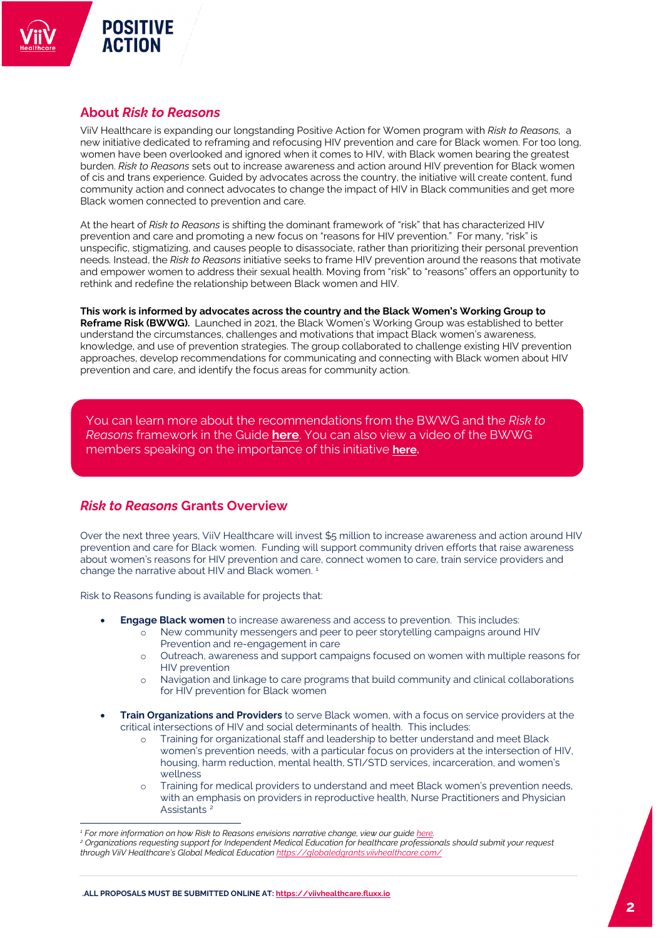## **About** *Risk to Reasons*

**POSITIVE ACTION** 

ViiV Healthcare is expanding our longstanding Positive Action for Women program with *Risk to Reasons,* a new initiative dedicated to reframing and refocusing HIV prevention and care for Black women. For too long, women have been overlooked and ignored when it comes to HIV, with Black women bearing the greatest burden. *Risk to Reasons* sets out to increase awareness and action around HIV prevention for Black women of cis and trans experience. Guided by advocates across the country, the initiative will create content, fund community action and connect advocates to change the impact of HIV in Black communities and get more Black women connected to prevention and care.

At the heart of *Risk to Reasons* is shifting the dominant framework of "risk" that has characterized HIV prevention and care and promoting a new focus on "reasons for HIV prevention." For many, "risk" is unspecific, stigmatizing, and causes people to disassociate, rather than prioritizing their personal prevention needs. Instead, the *Risk to Reasons* initiative seeks to frame HIV prevention around the reasons that motivate and empower women to address their sexual health. Moving from "risk" to "reasons" offers an opportunity to rethink and redefine the relationship between Black women and HIV.

**This work is informed by advocates across the country and the Black Women's Working Group to Reframe Risk (BWWG).** Launched in 2021, the Black Women's Working Group was established to better understand the circumstances, challenges and motivations that impact Black women's awareness, knowledge, and use of prevention strategies. The group collaborated to challenge existing HIV prevention approaches, develop recommendations for communicating and connecting with Black women about HIV prevention and care, and identify the focus areas for community action.

You can learn more about the recommendations from the BWWG and the *Risk to Reasons* framework in the Guide **[here](https://viivhealthcare.com/en-us/supporting-the-hiv-community/positive-action/women-living-with-hiv/)**. You can also view a video of the BWWG members speaking on the importance of this initiative **[here.](https://youtu.be/HNYjz1u4v90)**

## *Risk to Reasons* **Grants Overview**

Over the next three years, ViiV Healthcare will invest \$5 million to increase awareness and action around HIV prevention and care for Black women. Funding will support community driven efforts that raise awareness about women's reasons for HIV prevention and care, connect women to care, train service providers and change the narrative about HIV and Black women.<sup>[1](#page-1-0)</sup>

Risk to Reasons funding is available for projects that:

- **Engage Black women** to increase awareness and access to prevention. This includes:
	- o New community messengers and peer to peer storytelling campaigns around HIV Prevention and re-engagement in care
	- o Outreach, awareness and support campaigns focused on women with multiple reasons for HIV prevention
	- o Navigation and linkage to care programs that build community and clinical collaborations for HIV prevention for Black women
- **Train Organizations and Providers** to serve Black women, with a focus on service providers at the critical intersections of HIV and social determinants of health. This includes:
	- o Training for organizational staff and leadership to better understand and meet Black women's prevention needs, with a particular focus on providers at the intersection of HIV, housing, harm reduction, mental health, STI/STD services, incarceration, and women's wellness
	- o Training for medical providers to understand and meet Black women's prevention needs, with an emphasis on providers in reproductive health, Nurse Practitioners and Physician Assistants<sup>[2](#page-1-1)</sup>

<span id="page-1-1"></span><span id="page-1-0"></span><sup>&</sup>lt;sup>1</sup> For more information on how Risk to Reasons envisions narrative change, view our guide <u>here.</u><br><sup>2</sup> Organizations requesting support for Independent Medical Education for healthcare professionals should submit your requ *through ViiV Healthcare's Global Medical Education <https://globaledgrants.viivhealthcare.com/>*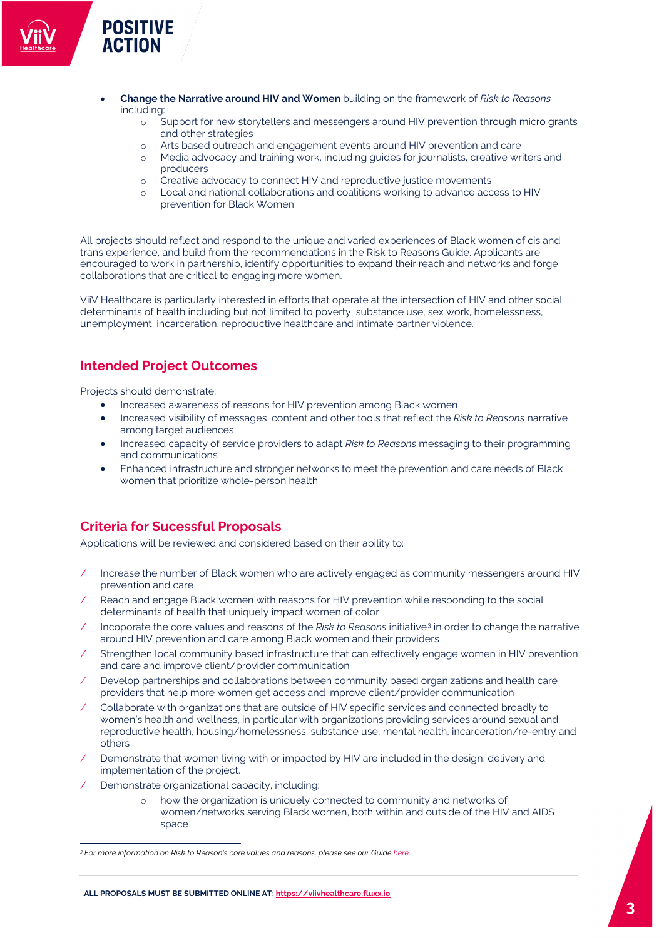## • **Change the Narrative around HIV and Women** building on the framework of *Risk to Reasons* including:

- o Support for new storytellers and messengers around HIV prevention through micro grants and other strategies
- o Arts based outreach and engagement events around HIV prevention and care
- o Media advocacy and training work, including guides for journalists, creative writers and producers
- o Creative advocacy to connect HIV and reproductive justice movements
- o Local and national collaborations and coalitions working to advance access to HIV prevention for Black Women

All projects should reflect and respond to the unique and varied experiences of Black women of cis and trans experience, and build from the recommendations in the Risk to Reasons Guide. Applicants are encouraged to work in partnership, identify opportunities to expand their reach and networks and forge collaborations that are critical to engaging more women.

ViiV Healthcare is particularly interested in efforts that operate at the intersection of HIV and other social determinants of health including but not limited to poverty, substance use, sex work, homelessness, unemployment, incarceration, reproductive healthcare and intimate partner violence.

## **Intended Project Outcomes**

Projects should demonstrate:

**POSITIVE ACTION** 

- Increased awareness of reasons for HIV prevention among Black women
- Increased visibility of messages, content and other tools that reflect the *Risk to Reasons* narrative among target audiences
- Increased capacity of service providers to adapt *Risk to Reasons* messaging to their programming and communications
- Enhanced infrastructure and stronger networks to meet the prevention and care needs of Black women that prioritize whole-person health

# **Criteria for Sucessful Proposals**

Applications will be reviewed and considered based on their ability to:

- / Increase the number of Black women who are actively engaged as community messengers around HIV prevention and care
- Reach and engage Black women with reasons for HIV prevention while responding to the social determinants of health that uniquely impact women of color
- Incoporate the core values and reasons of the *Risk to Reasons* initiative<sup>[3](#page-2-0)</sup> in order to change the narrative around HIV prevention and care among Black women and their providers
- / Strengthen local community based infrastructure that can effectively engage women in HIV prevention and care and improve client/provider communication
- Develop partnerships and collaborations between community based organizations and health care providers that help more women get access and improve client/provider communication
- / Collaborate with organizations that are outside of HIV specific services and connected broadly to women's health and wellness, in particular with organizations providing services around sexual and reproductive health, housing/homelessness, substance use, mental health, incarceration/re-entry and others
- Demonstrate that women living with or impacted by HIV are included in the design, delivery and implementation of the project.
- Demonstrate organizational capacity, including:
	- how the organization is uniquely connected to community and networks of women/networks serving Black women, both within and outside of the HIV and AIDS space

<span id="page-2-0"></span>*<sup>3</sup> For more information on Risk to Reason's core values and reasons, please see our Guide [here.](https://viivhealthcare.com/en-us/supporting-the-hiv-community/positive-action/women-living-with-hiv/)*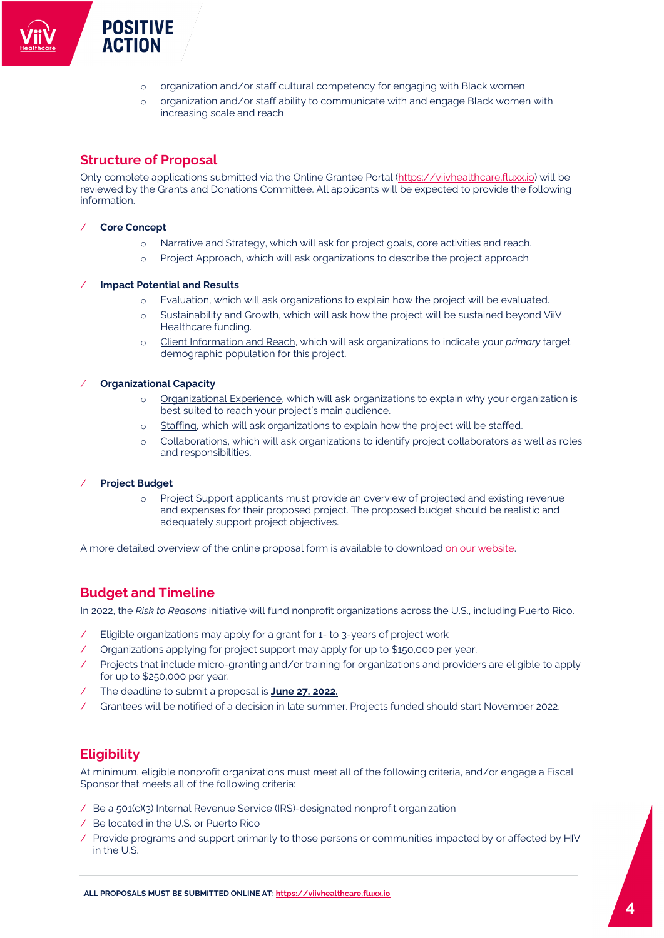- o organization and/or staff cultural competency for engaging with Black women
- o organization and/or staff ability to communicate with and engage Black women with increasing scale and reach

# **Structure of Proposal**

**POSITIVE ACTION** 

Only complete applications submitted via the Online Grantee Portal [\(https://viivhealthcare.fluxx.io\)](https://viivhealthcare.fluxx.io/) will be reviewed by the Grants and Donations Committee. All applicants will be expected to provide the following information.

## / **Core Concept**

- o Narrative and Strategy, which will ask for project goals, core activities and reach.
- o Project Approach, which will ask organizations to describe the project approach

#### / **Impact Potential and Results**

- o Evaluation, which will ask organizations to explain how the project will be evaluated.
- o Sustainability and Growth, which will ask how the project will be sustained beyond ViiV Healthcare funding.
- o Client Information and Reach, which will ask organizations to indicate your *primary* target demographic population for this project.

### / **Organizational Capacity**

- o Organizational Experience, which will ask organizations to explain why your organization is best suited to reach your project's main audience.
- o Staffing, which will ask organizations to explain how the project will be staffed.
- o Collaborations, which will ask organizations to identify project collaborators as well as roles and responsibilities.

#### / **Project Budget**

o Project Support applicants must provide an overview of projected and existing revenue and expenses for their proposed project. The proposed budget should be realistic and adequately support project objectives.

A more detailed overview of the online proposal form is available to downloa[d on our website.](https://viivhealthcare.com/en-us/supporting-the-hiv-community/positive-action/women-living-with-hiv/)**.** 

# **Budget and Timeline**

In 2022, the *Risk to Reasons* initiative will fund nonprofit organizations across the U.S., including Puerto Rico.

- Eligible organizations may apply for a grant for 1- to 3-years of project work
- / Organizations applying for project support may apply for up to \$150,000 per year.
- Projects that include micro-granting and/or training for organizations and providers are eligible to apply for up to \$250,000 per year.
- / The deadline to submit a proposal is **June 27, 2022.**
- / Grantees will be notified of a decision in late summer. Projects funded should start November 2022.

## **Eligibility**

At minimum, eligible nonprofit organizations must meet all of the following criteria, and/or engage a Fiscal Sponsor that meets all of the following criteria:

- / Be a 501(c)(3) Internal Revenue Service (IRS)-designated nonprofit organization
- / Be located in the U.S. or Puerto Rico
- / Provide programs and support primarily to those persons or communities impacted by or affected by HIV in the U.S.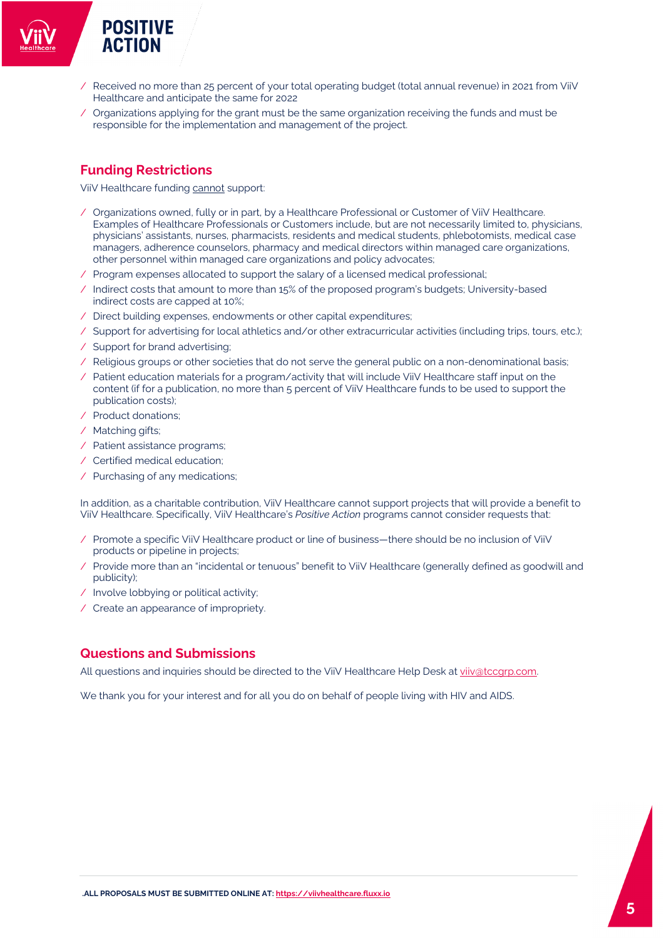- / Received no more than 25 percent of your total operating budget (total annual revenue) in 2021 from ViiV Healthcare and anticipate the same for 2022
- / Organizations applying for the grant must be the same organization receiving the funds and must be responsible for the implementation and management of the project.

# **Funding Restrictions**

ViiV Healthcare funding cannot support:

- / Organizations owned, fully or in part, by a Healthcare Professional or Customer of ViiV Healthcare. Examples of Healthcare Professionals or Customers include, but are not necessarily limited to, physicians, physicians' assistants, nurses, pharmacists, residents and medical students, phlebotomists, medical case managers, adherence counselors, pharmacy and medical directors within managed care organizations, other personnel within managed care organizations and policy advocates;
- / Program expenses allocated to support the salary of a licensed medical professional;
- / Indirect costs that amount to more than 15% of the proposed program's budgets; University-based indirect costs are capped at 10%;
- / Direct building expenses, endowments or other capital expenditures;
- / Support for advertising for local athletics and/or other extracurricular activities (including trips, tours, etc.);
- / Support for brand advertising;
- / Religious groups or other societies that do not serve the general public on a non-denominational basis;
- / Patient education materials for a program/activity that will include ViiV Healthcare staff input on the content (if for a publication, no more than 5 percent of ViiV Healthcare funds to be used to support the publication costs);
- / Product donations;
- / Matching gifts;
- / Patient assistance programs;
- / Certified medical education;
- / Purchasing of any medications;

In addition, as a charitable contribution, ViiV Healthcare cannot support projects that will provide a benefit to ViiV Healthcare. Specifically, ViiV Healthcare's *Positive Action* programs cannot consider requests that:

- / Promote a specific ViiV Healthcare product or line of business—there should be no inclusion of ViiV products or pipeline in projects;
- / Provide more than an "incidental or tenuous" benefit to ViiV Healthcare (generally defined as goodwill and publicity);
- / Involve lobbying or political activity;
- / Create an appearance of impropriety.

# **Questions and Submissions**

All questions and inquiries should be directed to the ViiV Healthcare Help Desk at viiv@tccqrp.com.

We thank you for your interest and for all you do on behalf of people living with HIV and AIDS.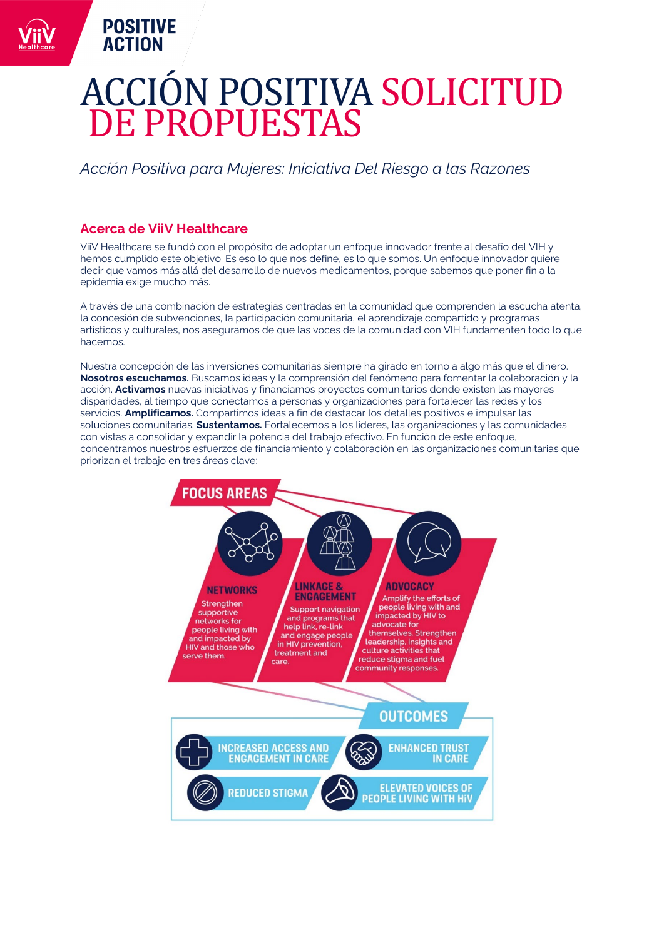# ACCION POSITIVA SOLICITUD<br>DE PRODUESTAS DE PROPUESTAS

# *Acción Positiva para Mujeres: Iniciativa Del Riesgo a las Razones*

# **Acerca de ViiV Healthcare**

<span id="page-5-0"></span>**POSITIVE ACTION** 

ViiV Healthcare se fundó con el propósito de adoptar un enfoque innovador frente al desafío del VIH y hemos cumplido este objetivo. Es eso lo que nos define, es lo que somos. Un enfoque innovador quiere decir que vamos más allá del desarrollo de nuevos medicamentos, porque sabemos que poner fin a la epidemia exige mucho más.

A través de una combinación de estrategias centradas en la comunidad que comprenden la escucha atenta, la concesión de subvenciones, la participación comunitaria, el aprendizaje compartido y programas artísticos y culturales, nos aseguramos de que las voces de la comunidad con VIH fundamenten todo lo que hacemos.

Nuestra concepción de las inversiones comunitarias siempre ha girado en torno a algo más que el dinero. **Nosotros escuchamos.** Buscamos ideas y la comprensión del fenómeno para fomentar la colaboración y la acción. **Activamos** nuevas iniciativas y financiamos proyectos comunitarios donde existen las mayores disparidades, al tiempo que conectamos a personas y organizaciones para fortalecer las redes y los servicios. **Amplificamos.** Compartimos ideas a fin de destacar los detalles positivos e impulsar las soluciones comunitarias. **Sustentamos.** Fortalecemos a los líderes, las organizaciones y las comunidades con vistas a consolidar y expandir la potencia del trabajo efectivo. En función de este enfoque, concentramos nuestros esfuerzos de financiamiento y colaboración en las organizaciones comunitarias que priorizan el trabajo en tres áreas clave:

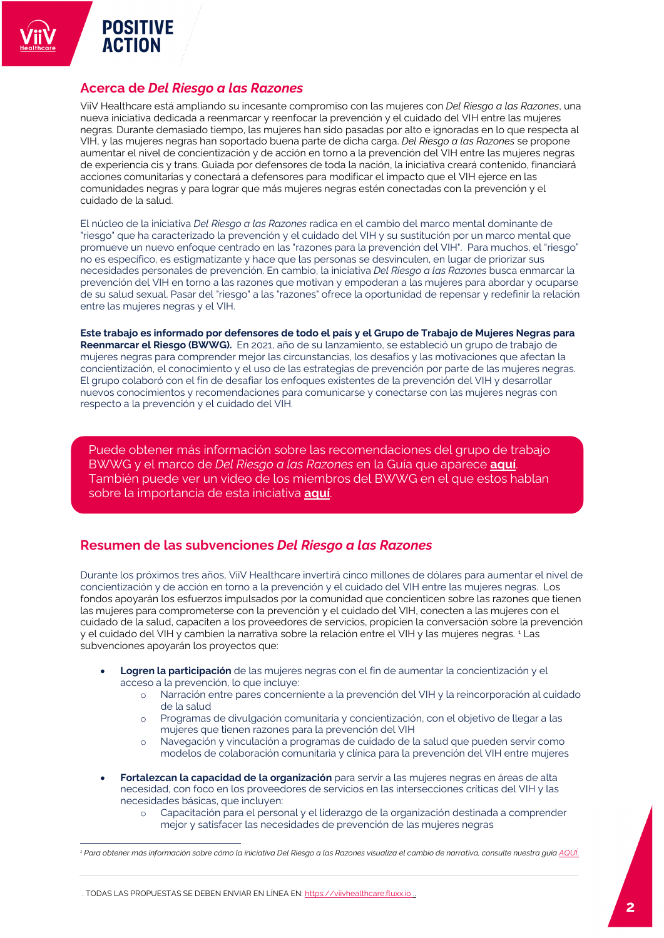# **Acerca de** *Del Riesgo a las Razones*

ViiV Healthcare está ampliando su incesante compromiso con las mujeres con *Del Riesgo a las Razones*, una nueva iniciativa dedicada a reenmarcar y reenfocar la prevención y el cuidado del VIH entre las mujeres negras. Durante demasiado tiempo, las mujeres han sido pasadas por alto e ignoradas en lo que respecta al VIH, y las mujeres negras han soportado buena parte de dicha carga. *Del Riesgo a las Razones* se propone aumentar el nivel de concientización y de acción en torno a la prevención del VIH entre las mujeres negras de experiencia cis y trans. Guiada por defensores de toda la nación, la iniciativa creará contenido, financiará acciones comunitarias y conectará a defensores para modificar el impacto que el VIH ejerce en las comunidades negras y para lograr que más mujeres negras estén conectadas con la prevención y el cuidado de la salud.

El núcleo de la iniciativa *Del Riesgo a las Razones* radica en el cambio del marco mental dominante de "riesgo" que ha caracterizado la prevención y el cuidado del VIH y su sustitución por un marco mental que promueve un nuevo enfoque centrado en las "razones para la prevención del VIH". Para muchos, el "riesgo" no es específico, es estigmatizante y hace que las personas se desvinculen, en lugar de priorizar sus necesidades personales de prevención. En cambio, la iniciativa *Del Riesgo a las Razones* busca enmarcar la prevención del VIH en torno a las razones que motivan y empoderan a las mujeres para abordar y ocuparse de su salud sexual. Pasar del "riesgo" a las "razones" ofrece la oportunidad de repensar y redefinir la relación entre las mujeres negras y el VIH.

**Este trabajo es informado por defensores de todo el país y el Grupo de Trabajo de Mujeres Negras para Reenmarcar el Riesgo (BWWG).** En 2021, año de su lanzamiento, se estableció un grupo de trabajo de mujeres negras para comprender mejor las circunstancias, los desafíos y las motivaciones que afectan la concientización, el conocimiento y el uso de las estrategias de prevención por parte de las mujeres negras. El grupo colaboró con el fin de desafiar los enfoques existentes de la prevención del VIH y desarrollar nuevos conocimientos y recomendaciones para comunicarse y conectarse con las mujeres negras con respecto a la prevención y el cuidado del VIH.

Puede obtener más información sobre las recomendaciones del grupo de trabajo BWWG y el marco de *Del Riesgo a las Razones* en la Guía que aparece **[aquí](https://viivhealthcare.com/en-us/supporting-the-hiv-community/positive-action/women-living-with-hiv/)**. También puede ver un video de los miembros del BWWG en el que estos hablan sobre la importancia de esta iniciativa **[aquí](https://youtu.be/HNYjz1u4v90)**.

# **Resumen de las subvenciones** *Del Riesgo a las Razones*

Durante los próximos tres años, ViiV Healthcare invertirá cinco millones de dólares para aumentar el nivel de concientización y de acción en torno a la prevención y el cuidado del VIH entre las mujeres negras. Los fondos apoyarán los esfuerzos impulsados por la comunidad que concienticen sobre las razones que tienen las mujeres para comprometerse con la prevención y el cuidado del VIH, conecten a las mujeres con el cuidado de la salud, capaciten a los proveedores de servicios, propicien la conversación sobre la prevención y el cuidado del VIH y cambien la narrativa sobre la relación entre el VIH y las mujeres negras. [1](#page-6-0) Las subvenciones apoyarán los proyectos que:

- **Logren la participación** de las mujeres negras con el fin de aumentar la concientización y el acceso a la prevención, lo que incluye:
	- o Narración entre pares concerniente a la prevención del VIH y la reincorporación al cuidado de la salud
	- Programas de divulgación comunitaria y concientización, con el objetivo de llegar a las mujeres que tienen razones para la prevención del VIH
	- o Navegación y vinculación a programas de cuidado de la salud que pueden servir como modelos de colaboración comunitaria y clínica para la prevención del VIH entre mujeres
- **Fortalezcan la capacidad de la organización** para servir a las mujeres negras en áreas de alta necesidad, con foco en los proveedores de servicios en las intersecciones críticas del VIH y las necesidades básicas, que incluyen:
	- o Capacitación para el personal y el liderazgo de la organización destinada a comprender mejor y satisfacer las necesidades de prevención de las mujeres negras

. TODAS LAS PROPUESTAS SE DEBEN ENVIAR EN LÍNEA EN[: https://viivhealthcare.fluxx.io](https://viivhealthcare.fluxx.io/) ..

<span id="page-6-0"></span>*<sup>1</sup> Para obtener más información sobre cómo la iniciativa Del Riesgo a las Razones visualiza el cambio de narrativa, consulte nuestra guí[a AQUÍ](https://viivhealthcare.com/en-us/supporting-the-hiv-community/positive-action/women-living-with-hiv/)*.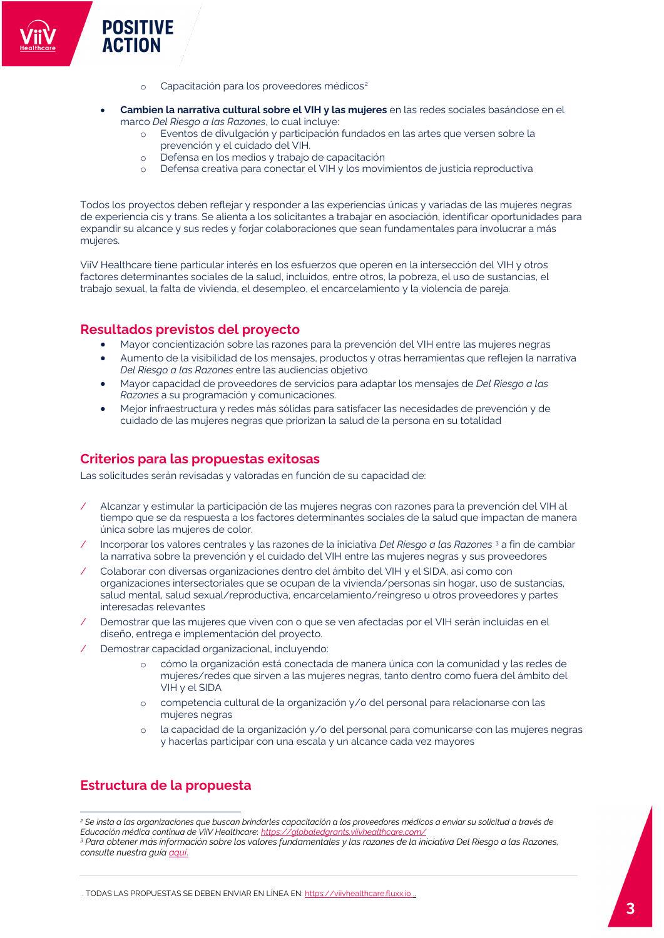- o Capacitación para los proveedores médicos<sup>[2](#page-7-0)</sup>
- **Cambien la narrativa cultural sobre el VIH y las mujeres** en las redes sociales basándose en el marco *Del Riesgo a las Razones*, lo cual incluye:
	- o Eventos de divulgación y participación fundados en las artes que versen sobre la prevención y el cuidado del VIH.
	- o Defensa en los medios y trabajo de capacitación
	- o Defensa creativa para conectar el VIH y los movimientos de justicia reproductiva

Todos los proyectos deben reflejar y responder a las experiencias únicas y variadas de las mujeres negras de experiencia cis y trans. Se alienta a los solicitantes a trabajar en asociación, identificar oportunidades para expandir su alcance y sus redes y forjar colaboraciones que sean fundamentales para involucrar a más mujeres.

ViiV Healthcare tiene particular interés en los esfuerzos que operen en la intersección del VIH y otros factores determinantes sociales de la salud, incluidos, entre otros, la pobreza, el uso de sustancias, el trabajo sexual, la falta de vivienda, el desempleo, el encarcelamiento y la violencia de pareja.

## **Resultados previstos del proyecto**

- Mayor concientización sobre las razones para la prevención del VIH entre las mujeres negras
- Aumento de la visibilidad de los mensajes, productos y otras herramientas que reflejen la narrativa *Del Riesgo a las Razones* entre las audiencias objetivo
- Mayor capacidad de proveedores de servicios para adaptar los mensajes de *Del Riesgo a las Razones* a su programación y comunicaciones.
- Mejor infraestructura y redes más sólidas para satisfacer las necesidades de prevención y de cuidado de las mujeres negras que priorizan la salud de la persona en su totalidad

## **Criterios para las propuestas exitosas**

Las solicitudes serán revisadas y valoradas en función de su capacidad de:

- / Alcanzar y estimular la participación de las mujeres negras con razones para la prevención del VIH al tiempo que se da respuesta a los factores determinantes sociales de la salud que impactan de manera única sobre las mujeres de color.
- / Incorporar los valores centrales y las razones de la iniciativa *Del Riesgo a las Razones* [3](#page-7-1) a fin de cambiar la narrativa sobre la prevención y el cuidado del VIH entre las mujeres negras y sus proveedores
- / Colaborar con diversas organizaciones dentro del ámbito del VIH y el SIDA, así como con organizaciones intersectoriales que se ocupan de la vivienda/personas sin hogar, uso de sustancias, salud mental, salud sexual/reproductiva, encarcelamiento/reingreso u otros proveedores y partes interesadas relevantes
- / Demostrar que las mujeres que viven con o que se ven afectadas por el VIH serán incluidas en el diseño, entrega e implementación del proyecto.
- Demostrar capacidad organizacional, incluyendo:
	- o cómo la organización está conectada de manera única con la comunidad y las redes de mujeres/redes que sirven a las mujeres negras, tanto dentro como fuera del ámbito del VIH y el SIDA
	- competencia cultural de la organización y/o del personal para relacionarse con las mujeres negras
	- o la capacidad de la organización y/o del personal para comunicarse con las mujeres negras y hacerlas participar con una escala y un alcance cada vez mayores

# **Estructura de la propuesta**

<span id="page-7-1"></span><span id="page-7-0"></span>*<sup>2</sup> Se insta a las organizaciones que buscan brindarles capacitación a los proveedores médicos a enviar su solicitud a través de Educación médica continua de ViiV Healthcare*: *<https://globaledgrants.viivhealthcare.com/> <sup>3</sup> Para obtener más información sobre los valores fundamentales y las razones de la iniciativa Del Riesgo a las Razones, consulte nuestra guí[a aquí](https://viivhealthcare.com/en-us/supporting-the-hiv-community/positive-action/women-living-with-hiv/)*.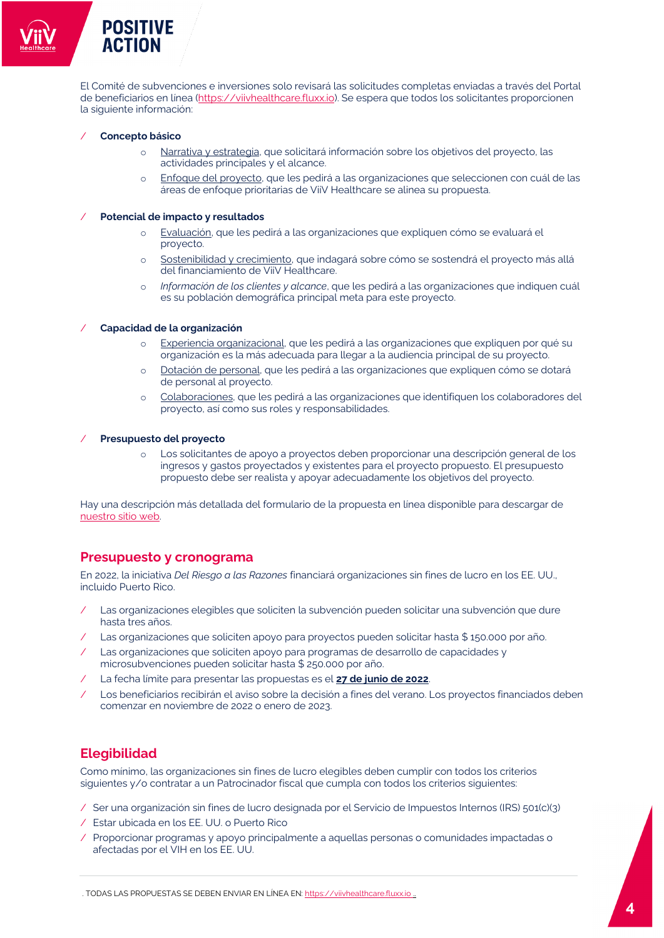El Comité de subvenciones e inversiones solo revisará las solicitudes completas enviadas a través del Portal de beneficiarios en línea [\(https://viivhealthcare.fluxx.io\)](https://viivhealthcare.fluxx.io/). Se espera que todos los solicitantes proporcionen la siguiente información:

## / **Concepto básico**

- o Narrativa y estrategia, que solicitará información sobre los objetivos del proyecto, las actividades principales y el alcance.
- o Enfoque del proyecto, que les pedirá a las organizaciones que seleccionen con cuál de las áreas de enfoque prioritarias de ViiV Healthcare se alinea su propuesta.

### / **Potencial de impacto y resultados**

- o Evaluación, que les pedirá a las organizaciones que expliquen cómo se evaluará el proyecto.
- o Sostenibilidad y crecimiento, que indagará sobre cómo se sostendrá el proyecto más allá del financiamiento de ViiV Healthcare.
- o *Información de los clientes y alcance*, que les pedirá a las organizaciones que indiquen cuál es su población demográfica principal meta para este proyecto.

### / **Capacidad de la organización**

- o Experiencia organizacional, que les pedirá a las organizaciones que expliquen por qué su organización es la más adecuada para llegar a la audiencia principal de su proyecto.
- o Dotación de personal, que les pedirá a las organizaciones que expliquen cómo se dotará de personal al proyecto.
- Colaboraciones, que les pedirá a las organizaciones que identifiquen los colaboradores del proyecto, así como sus roles y responsabilidades.

### / **Presupuesto del proyecto**

o Los solicitantes de apoyo a proyectos deben proporcionar una descripción general de los ingresos y gastos proyectados y existentes para el proyecto propuesto. El presupuesto propuesto debe ser realista y apoyar adecuadamente los objetivos del proyecto.

Hay una descripción más detallada del formulario de la propuesta en línea disponible para descargar de [nuestro sitio web.](https://viivhealthcare.com/en-us/supporting-the-hiv-community/positive-action/women-living-with-hiv/)**.**

## **Presupuesto y cronograma**

En 2022, la iniciativa *Del Riesgo a las Razones* financiará organizaciones sin fines de lucro en los EE. UU., incluido Puerto Rico.

- Las organizaciones elegibles que soliciten la subvención pueden solicitar una subvención que dure hasta tres años.
- Las organizaciones que soliciten apoyo para proyectos pueden solicitar hasta \$ 150.000 por año.
- Las organizaciones que soliciten apoyo para programas de desarrollo de capacidades y microsubvenciones pueden solicitar hasta \$ 250.000 por año.
- / La fecha límite para presentar las propuestas es el **27 de junio de 2022**.
- Los beneficiarios recibirán el aviso sobre la decisión a fines del verano. Los proyectos financiados deben comenzar en noviembre de 2022 o enero de 2023.

# **Elegibilidad**

Como mínimo, las organizaciones sin fines de lucro elegibles deben cumplir con todos los criterios siguientes y/o contratar a un Patrocinador fiscal que cumpla con todos los criterios siguientes:

- / Ser una organización sin fines de lucro designada por el Servicio de Impuestos Internos (IRS) 501(c)(3)
- / Estar ubicada en los EE. UU. o Puerto Rico
- / Proporcionar programas y apoyo principalmente a aquellas personas o comunidades impactadas o afectadas por el VIH en los EE. UU.

. TODAS LAS PROPUESTAS SE DEBEN ENVIAR EN LÍNEA EN[: https://viivhealthcare.fluxx.io](https://viivhealthcare.fluxx.io/) ..